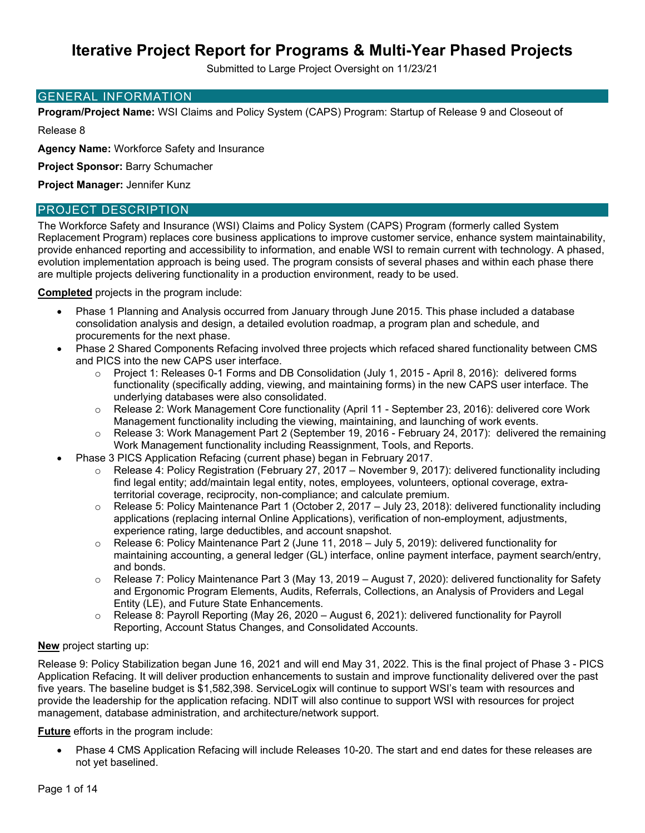Submitted to Large Project Oversight on 11/23/21

#### GENERAL INFORMATION

**Program/Project Name:** WSI Claims and Policy System (CAPS) Program: Startup of Release 9 and Closeout of

Release 8

**Agency Name:** Workforce Safety and Insurance

**Project Sponsor:** Barry Schumacher

**Project Manager:** Jennifer Kunz

#### PROJECT DESCRIPTION

The Workforce Safety and Insurance (WSI) Claims and Policy System (CAPS) Program (formerly called System Replacement Program) replaces core business applications to improve customer service, enhance system maintainability, provide enhanced reporting and accessibility to information, and enable WSI to remain current with technology. A phased, evolution implementation approach is being used. The program consists of several phases and within each phase there are multiple projects delivering functionality in a production environment, ready to be used.

**Completed** projects in the program include:

- Phase 1 Planning and Analysis occurred from January through June 2015. This phase included a database consolidation analysis and design, a detailed evolution roadmap, a program plan and schedule, and procurements for the next phase.
- Phase 2 Shared Components Refacing involved three projects which refaced shared functionality between CMS and PICS into the new CAPS user interface.
	- o Project 1: Releases 0-1 Forms and DB Consolidation (July 1, 2015 April 8, 2016): delivered forms functionality (specifically adding, viewing, and maintaining forms) in the new CAPS user interface. The underlying databases were also consolidated.
	- o Release 2: Work Management Core functionality (April 11 September 23, 2016): delivered core Work Management functionality including the viewing, maintaining, and launching of work events.
	- o Release 3: Work Management Part 2 (September 19, 2016 February 24, 2017): delivered the remaining Work Management functionality including Reassignment, Tools, and Reports.
- Phase 3 PICS Application Refacing (current phase) began in February 2017.
	- o Release 4: Policy Registration (February 27, 2017 November 9, 2017): delivered functionality including find legal entity; add/maintain legal entity, notes, employees, volunteers, optional coverage, extraterritorial coverage, reciprocity, non-compliance; and calculate premium.
	- $\circ$  Release 5: Policy Maintenance Part 1 (October 2, 2017 July 23, 2018): delivered functionality including applications (replacing internal Online Applications), verification of non-employment, adjustments, experience rating, large deductibles, and account snapshot.
	- $\circ$  Release 6: Policy Maintenance Part 2 (June 11, 2018 July 5, 2019): delivered functionality for maintaining accounting, a general ledger (GL) interface, online payment interface, payment search/entry, and bonds.
	- $\circ$  Release 7: Policy Maintenance Part 3 (May 13, 2019 August 7, 2020): delivered functionality for Safety and Ergonomic Program Elements, Audits, Referrals, Collections, an Analysis of Providers and Legal Entity (LE), and Future State Enhancements.
	- Release 8: Payroll Reporting (May 26, 2020 August 6, 2021): delivered functionality for Payroll Reporting, Account Status Changes, and Consolidated Accounts.

### **New** project starting up:

Release 9: Policy Stabilization began June 16, 2021 and will end May 31, 2022. This is the final project of Phase 3 - PICS Application Refacing. It will deliver production enhancements to sustain and improve functionality delivered over the past five years. The baseline budget is \$1,582,398. ServiceLogix will continue to support WSI's team with resources and provide the leadership for the application refacing. NDIT will also continue to support WSI with resources for project management, database administration, and architecture/network support.

### **Future** efforts in the program include:

 Phase 4 CMS Application Refacing will include Releases 10-20. The start and end dates for these releases are not yet baselined.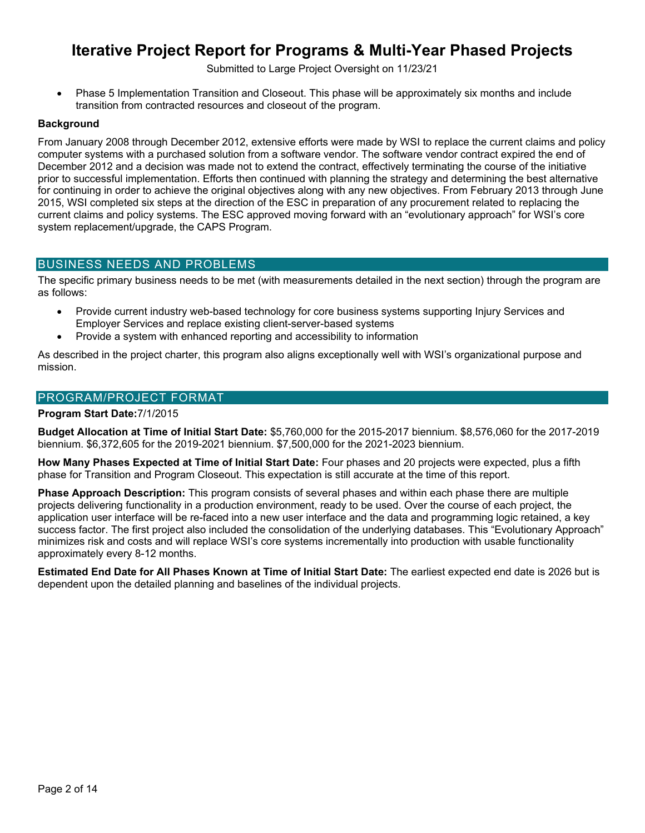Submitted to Large Project Oversight on 11/23/21

 Phase 5 Implementation Transition and Closeout. This phase will be approximately six months and include transition from contracted resources and closeout of the program.

#### **Background**

From January 2008 through December 2012, extensive efforts were made by WSI to replace the current claims and policy computer systems with a purchased solution from a software vendor. The software vendor contract expired the end of December 2012 and a decision was made not to extend the contract, effectively terminating the course of the initiative prior to successful implementation. Efforts then continued with planning the strategy and determining the best alternative for continuing in order to achieve the original objectives along with any new objectives. From February 2013 through June 2015, WSI completed six steps at the direction of the ESC in preparation of any procurement related to replacing the current claims and policy systems. The ESC approved moving forward with an "evolutionary approach" for WSI's core system replacement/upgrade, the CAPS Program.

### BUSINESS NEEDS AND PROBLEMS

The specific primary business needs to be met (with measurements detailed in the next section) through the program are as follows:

- Provide current industry web-based technology for core business systems supporting Injury Services and Employer Services and replace existing client-server-based systems
- Provide a system with enhanced reporting and accessibility to information

As described in the project charter, this program also aligns exceptionally well with WSI's organizational purpose and mission.

#### PROGRAM/PROJECT FORMAT

#### **Program Start Date:**7/1/2015

**Budget Allocation at Time of Initial Start Date:** \$5,760,000 for the 2015-2017 biennium. \$8,576,060 for the 2017-2019 biennium. \$6,372,605 for the 2019-2021 biennium. \$7,500,000 for the 2021-2023 biennium.

**How Many Phases Expected at Time of Initial Start Date:** Four phases and 20 projects were expected, plus a fifth phase for Transition and Program Closeout. This expectation is still accurate at the time of this report.

**Phase Approach Description:** This program consists of several phases and within each phase there are multiple projects delivering functionality in a production environment, ready to be used. Over the course of each project, the application user interface will be re-faced into a new user interface and the data and programming logic retained, a key success factor. The first project also included the consolidation of the underlying databases. This "Evolutionary Approach" minimizes risk and costs and will replace WSI's core systems incrementally into production with usable functionality approximately every 8-12 months.

**Estimated End Date for All Phases Known at Time of Initial Start Date:** The earliest expected end date is 2026 but is dependent upon the detailed planning and baselines of the individual projects.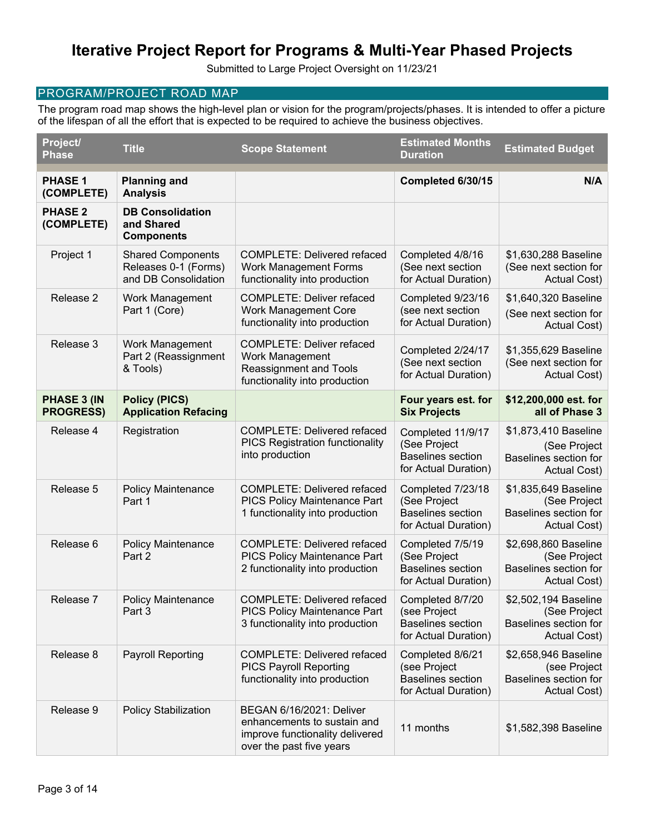Submitted to Large Project Oversight on 11/23/21

### PROGRAM/PROJECT ROAD MAP

The program road map shows the high-level plan or vision for the program/projects/phases. It is intended to offer a picture of the lifespan of all the effort that is expected to be required to achieve the business objectives.

| Project/<br><b>Phase</b>               | <b>Title</b>                                                             | <b>Scope Statement</b>                                                                                                 | <b>Estimated Months</b><br><b>Duration</b>                                            | <b>Estimated Budget</b>                                                       |
|----------------------------------------|--------------------------------------------------------------------------|------------------------------------------------------------------------------------------------------------------------|---------------------------------------------------------------------------------------|-------------------------------------------------------------------------------|
| <b>PHASE 1</b><br>(COMPLETE)           | <b>Planning and</b><br><b>Analysis</b>                                   |                                                                                                                        | Completed 6/30/15                                                                     | N/A                                                                           |
| <b>PHASE 2</b><br>(COMPLETE)           | <b>DB Consolidation</b><br>and Shared<br><b>Components</b>               |                                                                                                                        |                                                                                       |                                                                               |
| Project 1                              | <b>Shared Components</b><br>Releases 0-1 (Forms)<br>and DB Consolidation | <b>COMPLETE: Delivered refaced</b><br><b>Work Management Forms</b><br>functionality into production                    | Completed 4/8/16<br>(See next section<br>for Actual Duration)                         | \$1,630,288 Baseline<br>(See next section for<br>Actual Cost)                 |
| Release 2                              | Work Management<br>Part 1 (Core)                                         | <b>COMPLETE: Deliver refaced</b><br><b>Work Management Core</b><br>functionality into production                       | Completed 9/23/16<br>(see next section<br>for Actual Duration)                        | \$1,640,320 Baseline<br>(See next section for<br>Actual Cost)                 |
| Release 3                              | Work Management<br>Part 2 (Reassignment<br>& Tools)                      | <b>COMPLETE: Deliver refaced</b><br>Work Management<br><b>Reassignment and Tools</b><br>functionality into production  | Completed 2/24/17<br>(See next section<br>for Actual Duration)                        | \$1,355,629 Baseline<br>(See next section for<br>Actual Cost)                 |
| <b>PHASE 3 (IN</b><br><b>PROGRESS)</b> | <b>Policy (PICS)</b><br><b>Application Refacing</b>                      |                                                                                                                        | Four years est. for<br><b>Six Projects</b>                                            | \$12,200,000 est. for<br>all of Phase 3                                       |
| Release 4                              | Registration                                                             | <b>COMPLETE: Delivered refaced</b><br><b>PICS Registration functionality</b><br>into production                        | Completed 11/9/17<br>(See Project<br><b>Baselines section</b><br>for Actual Duration) | \$1,873,410 Baseline<br>(See Project<br>Baselines section for<br>Actual Cost) |
| Release 5                              | <b>Policy Maintenance</b><br>Part 1                                      | <b>COMPLETE: Delivered refaced</b><br><b>PICS Policy Maintenance Part</b><br>1 functionality into production           | Completed 7/23/18<br>(See Project<br><b>Baselines section</b><br>for Actual Duration) | \$1,835,649 Baseline<br>(See Project<br>Baselines section for<br>Actual Cost) |
| Release 6                              | <b>Policy Maintenance</b><br>Part 2                                      | <b>COMPLETE: Delivered refaced</b><br>PICS Policy Maintenance Part<br>2 functionality into production                  | Completed 7/5/19<br>(See Project<br><b>Baselines section</b><br>for Actual Duration)  | \$2,698,860 Baseline<br>(See Project<br>Baselines section for<br>Actual Cost) |
| Release 7                              | <b>Policy Maintenance</b><br>Part 3                                      | <b>COMPLETE: Delivered refaced</b><br><b>PICS Policy Maintenance Part</b><br>3 functionality into production           | Completed 8/7/20<br>(see Project<br><b>Baselines section</b><br>for Actual Duration)  | \$2,502,194 Baseline<br>(See Project<br>Baselines section for<br>Actual Cost) |
| Release 8                              | <b>Payroll Reporting</b>                                                 | <b>COMPLETE: Delivered refaced</b><br><b>PICS Payroll Reporting</b><br>functionality into production                   | Completed 8/6/21<br>(see Project<br><b>Baselines section</b><br>for Actual Duration)  | \$2,658,946 Baseline<br>(see Project<br>Baselines section for<br>Actual Cost) |
| Release 9                              | <b>Policy Stabilization</b>                                              | BEGAN 6/16/2021: Deliver<br>enhancements to sustain and<br>improve functionality delivered<br>over the past five years | 11 months                                                                             | \$1,582,398 Baseline                                                          |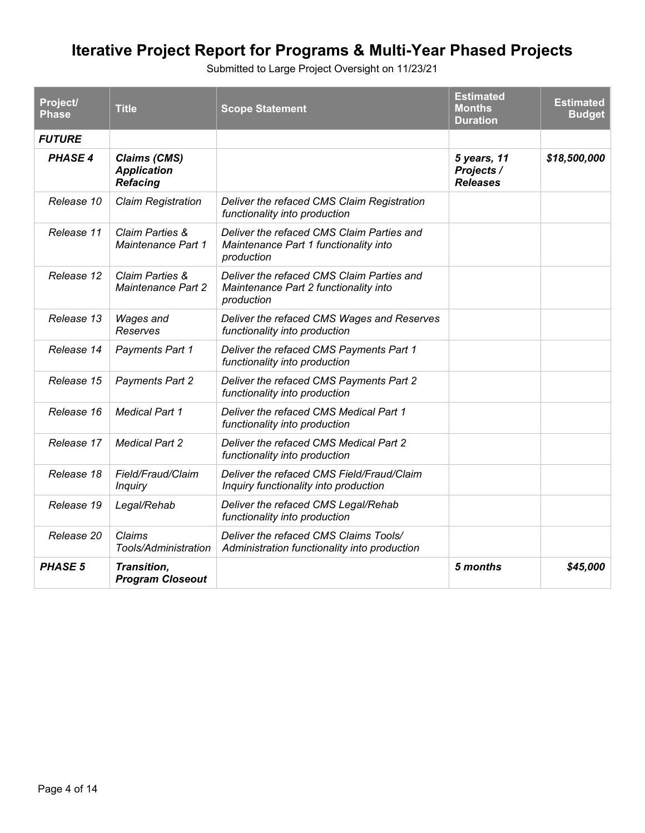| Project/<br><b>Phase</b> | <b>Title</b>                                                 | <b>Scope Statement</b>                                                                           | <b>Estimated</b><br><b>Months</b><br><b>Duration</b> | <b>Estimated</b><br><b>Budget</b> |
|--------------------------|--------------------------------------------------------------|--------------------------------------------------------------------------------------------------|------------------------------------------------------|-----------------------------------|
| <b>FUTURE</b>            |                                                              |                                                                                                  |                                                      |                                   |
| <b>PHASE 4</b>           | <b>Claims (CMS)</b><br><b>Application</b><br><b>Refacing</b> |                                                                                                  | 5 years, 11<br>Projects /<br><b>Releases</b>         | \$18,500,000                      |
| Release 10               | <b>Claim Registration</b>                                    | Deliver the refaced CMS Claim Registration<br>functionality into production                      |                                                      |                                   |
| Release 11               | Claim Parties &<br>Maintenance Part 1                        | Deliver the refaced CMS Claim Parties and<br>Maintenance Part 1 functionality into<br>production |                                                      |                                   |
| Release 12               | Claim Parties &<br><b>Maintenance Part 2</b>                 | Deliver the refaced CMS Claim Parties and<br>Maintenance Part 2 functionality into<br>production |                                                      |                                   |
| Release 13               | <b>Wages and</b><br>Reserves                                 | Deliver the refaced CMS Wages and Reserves<br>functionality into production                      |                                                      |                                   |
| Release 14               | <b>Payments Part 1</b>                                       | Deliver the refaced CMS Payments Part 1<br>functionality into production                         |                                                      |                                   |
| Release 15               | <b>Payments Part 2</b>                                       | Deliver the refaced CMS Payments Part 2<br>functionality into production                         |                                                      |                                   |
| Release 16               | <b>Medical Part 1</b>                                        | Deliver the refaced CMS Medical Part 1<br>functionality into production                          |                                                      |                                   |
| Release 17               | <b>Medical Part 2</b>                                        | Deliver the refaced CMS Medical Part 2<br>functionality into production                          |                                                      |                                   |
| Release 18               | Field/Fraud/Claim<br><b>Inquiry</b>                          | Deliver the refaced CMS Field/Fraud/Claim<br>Inquiry functionality into production               |                                                      |                                   |
| Release 19               | Legal/Rehab                                                  | Deliver the refaced CMS Legal/Rehab<br>functionality into production                             |                                                      |                                   |
| Release 20               | Claims<br>Tools/Administration                               | Deliver the refaced CMS Claims Tools/<br>Administration functionality into production            |                                                      |                                   |
| <b>PHASE 5</b>           | Transition,<br><b>Program Closeout</b>                       |                                                                                                  | 5 months                                             | \$45,000                          |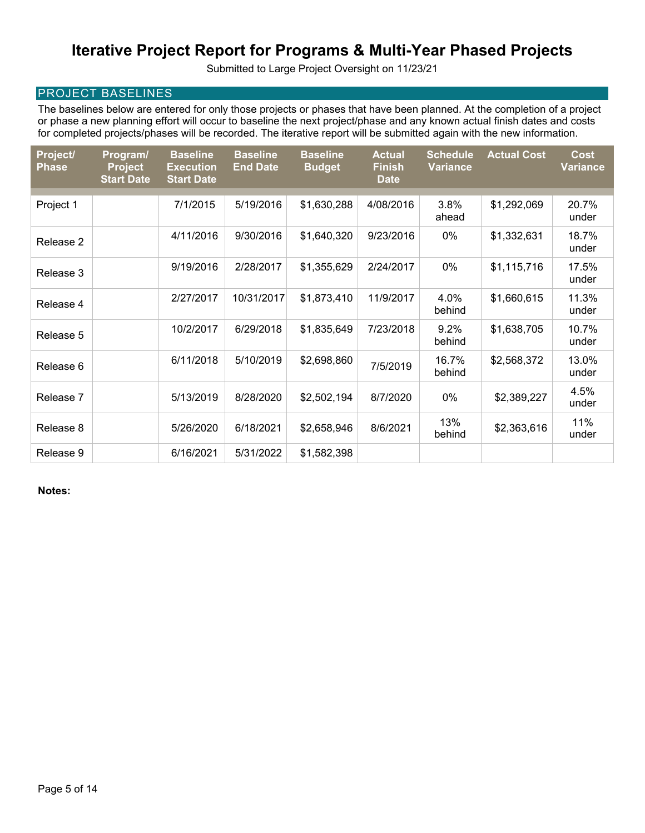Submitted to Large Project Oversight on 11/23/21

### PROJECT BASELINES

The baselines below are entered for only those projects or phases that have been planned. At the completion of a project or phase a new planning effort will occur to baseline the next project/phase and any known actual finish dates and costs for completed projects/phases will be recorded. The iterative report will be submitted again with the new information.

| Project/<br><b>Phase</b> | Program/<br><b>Project</b><br><b>Start Date</b> | <b>Baseline</b><br><b>Execution</b><br><b>Start Date</b> | <b>Baseline</b><br><b>End Date</b> | <b>Baseline</b><br><b>Budget</b> | <b>Actual</b><br><b>Finish</b><br><b>Date</b> | <b>Schedule</b><br><b>Variance</b> | <b>Actual Cost</b> | <b>Cost</b><br><b>Variance</b> |
|--------------------------|-------------------------------------------------|----------------------------------------------------------|------------------------------------|----------------------------------|-----------------------------------------------|------------------------------------|--------------------|--------------------------------|
| Project 1                |                                                 | 7/1/2015                                                 | 5/19/2016                          | \$1,630,288                      | 4/08/2016                                     | 3.8%                               | \$1,292,069        | 20.7%                          |
|                          |                                                 |                                                          |                                    |                                  |                                               | ahead                              |                    | under                          |
| Release 2                |                                                 | 4/11/2016                                                | 9/30/2016                          | \$1,640,320                      | 9/23/2016                                     | 0%                                 | \$1,332,631        | 18.7%<br>under                 |
| Release 3                |                                                 | 9/19/2016                                                | 2/28/2017                          | \$1,355,629                      | 2/24/2017                                     | 0%                                 | \$1,115,716        | 17.5%<br>under                 |
| Release 4                |                                                 | 2/27/2017                                                | 10/31/2017                         | \$1,873,410                      | 11/9/2017                                     | 4.0%<br>behind                     | \$1,660,615        | 11.3%<br>under                 |
| Release 5                |                                                 | 10/2/2017                                                | 6/29/2018                          | \$1,835,649                      | 7/23/2018                                     | 9.2%<br>behind                     | \$1,638,705        | 10.7%<br>under                 |
| Release 6                |                                                 | 6/11/2018                                                | 5/10/2019                          | \$2,698,860                      | 7/5/2019                                      | 16.7%<br>behind                    | \$2,568,372        | 13.0%<br>under                 |
| Release 7                |                                                 | 5/13/2019                                                | 8/28/2020                          | \$2,502,194                      | 8/7/2020                                      | 0%                                 | \$2,389,227        | 4.5%<br>under                  |
| Release 8                |                                                 | 5/26/2020                                                | 6/18/2021                          | \$2,658,946                      | 8/6/2021                                      | 13%<br>behind                      | \$2,363,616        | 11%<br>under                   |
| Release 9                |                                                 | 6/16/2021                                                | 5/31/2022                          | \$1,582,398                      |                                               |                                    |                    |                                |

**Notes:**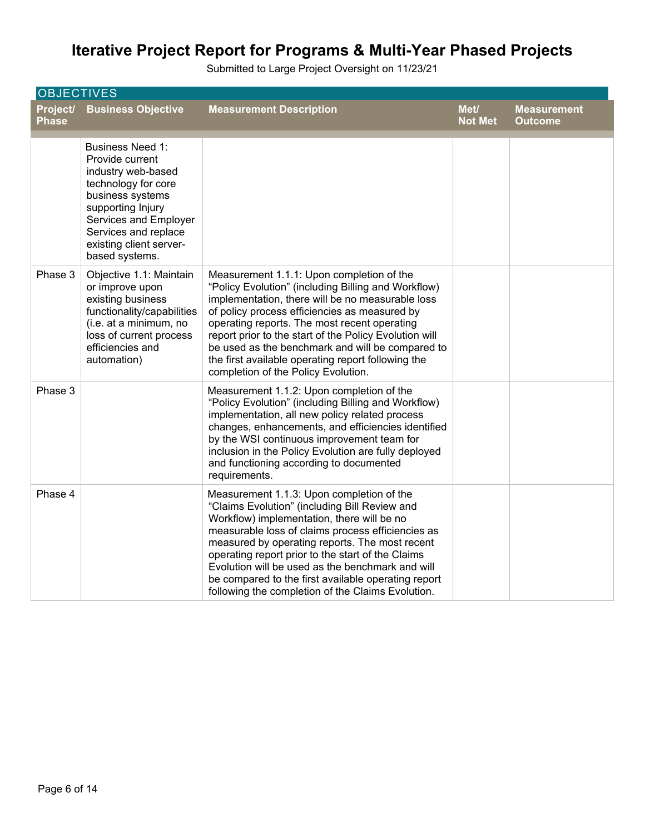| <b>OBJECTIVES</b>        |                                                                                                                                                                                                                                |                                                                                                                                                                                                                                                                                                                                                                                                                                                                      |                        |                                      |  |  |
|--------------------------|--------------------------------------------------------------------------------------------------------------------------------------------------------------------------------------------------------------------------------|----------------------------------------------------------------------------------------------------------------------------------------------------------------------------------------------------------------------------------------------------------------------------------------------------------------------------------------------------------------------------------------------------------------------------------------------------------------------|------------------------|--------------------------------------|--|--|
| Project/<br><b>Phase</b> | <b>Business Objective</b>                                                                                                                                                                                                      | <b>Measurement Description</b>                                                                                                                                                                                                                                                                                                                                                                                                                                       | Met/<br><b>Not Met</b> | <b>Measurement</b><br><b>Outcome</b> |  |  |
|                          | <b>Business Need 1:</b><br>Provide current<br>industry web-based<br>technology for core<br>business systems<br>supporting Injury<br>Services and Employer<br>Services and replace<br>existing client server-<br>based systems. |                                                                                                                                                                                                                                                                                                                                                                                                                                                                      |                        |                                      |  |  |
| Phase 3                  | Objective 1.1: Maintain<br>or improve upon<br>existing business<br>functionality/capabilities<br>(i.e. at a minimum, no<br>loss of current process<br>efficiencies and<br>automation)                                          | Measurement 1.1.1: Upon completion of the<br>"Policy Evolution" (including Billing and Workflow)<br>implementation, there will be no measurable loss<br>of policy process efficiencies as measured by<br>operating reports. The most recent operating<br>report prior to the start of the Policy Evolution will<br>be used as the benchmark and will be compared to<br>the first available operating report following the<br>completion of the Policy Evolution.     |                        |                                      |  |  |
| Phase 3                  |                                                                                                                                                                                                                                | Measurement 1.1.2: Upon completion of the<br>"Policy Evolution" (including Billing and Workflow)<br>implementation, all new policy related process<br>changes, enhancements, and efficiencies identified<br>by the WSI continuous improvement team for<br>inclusion in the Policy Evolution are fully deployed<br>and functioning according to documented<br>requirements.                                                                                           |                        |                                      |  |  |
| Phase 4                  |                                                                                                                                                                                                                                | Measurement 1.1.3: Upon completion of the<br>"Claims Evolution" (including Bill Review and<br>Workflow) implementation, there will be no<br>measurable loss of claims process efficiencies as<br>measured by operating reports. The most recent<br>operating report prior to the start of the Claims<br>Evolution will be used as the benchmark and will<br>be compared to the first available operating report<br>following the completion of the Claims Evolution. |                        |                                      |  |  |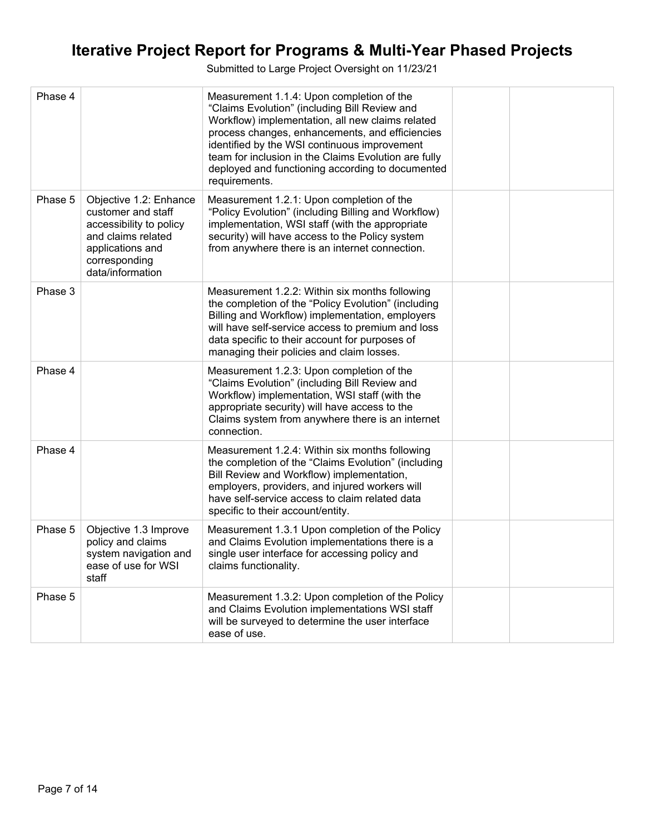| Phase 4 |                                                                                                                                                        | Measurement 1.1.4: Upon completion of the<br>"Claims Evolution" (including Bill Review and<br>Workflow) implementation, all new claims related<br>process changes, enhancements, and efficiencies<br>identified by the WSI continuous improvement<br>team for inclusion in the Claims Evolution are fully<br>deployed and functioning according to documented<br>requirements. |  |
|---------|--------------------------------------------------------------------------------------------------------------------------------------------------------|--------------------------------------------------------------------------------------------------------------------------------------------------------------------------------------------------------------------------------------------------------------------------------------------------------------------------------------------------------------------------------|--|
| Phase 5 | Objective 1.2: Enhance<br>customer and staff<br>accessibility to policy<br>and claims related<br>applications and<br>corresponding<br>data/information | Measurement 1.2.1: Upon completion of the<br>"Policy Evolution" (including Billing and Workflow)<br>implementation, WSI staff (with the appropriate<br>security) will have access to the Policy system<br>from anywhere there is an internet connection.                                                                                                                       |  |
| Phase 3 |                                                                                                                                                        | Measurement 1.2.2: Within six months following<br>the completion of the "Policy Evolution" (including<br>Billing and Workflow) implementation, employers<br>will have self-service access to premium and loss<br>data specific to their account for purposes of<br>managing their policies and claim losses.                                                                   |  |
| Phase 4 |                                                                                                                                                        | Measurement 1.2.3: Upon completion of the<br>"Claims Evolution" (including Bill Review and<br>Workflow) implementation, WSI staff (with the<br>appropriate security) will have access to the<br>Claims system from anywhere there is an internet<br>connection.                                                                                                                |  |
| Phase 4 |                                                                                                                                                        | Measurement 1.2.4: Within six months following<br>the completion of the "Claims Evolution" (including<br>Bill Review and Workflow) implementation,<br>employers, providers, and injured workers will<br>have self-service access to claim related data<br>specific to their account/entity.                                                                                    |  |
| Phase 5 | Objective 1.3 Improve<br>policy and claims<br>system navigation and<br>ease of use for WSI<br>staff                                                    | Measurement 1.3.1 Upon completion of the Policy<br>and Claims Evolution implementations there is a<br>single user interface for accessing policy and<br>claims functionality.                                                                                                                                                                                                  |  |
| Phase 5 |                                                                                                                                                        | Measurement 1.3.2: Upon completion of the Policy<br>and Claims Evolution implementations WSI staff<br>will be surveyed to determine the user interface<br>ease of use.                                                                                                                                                                                                         |  |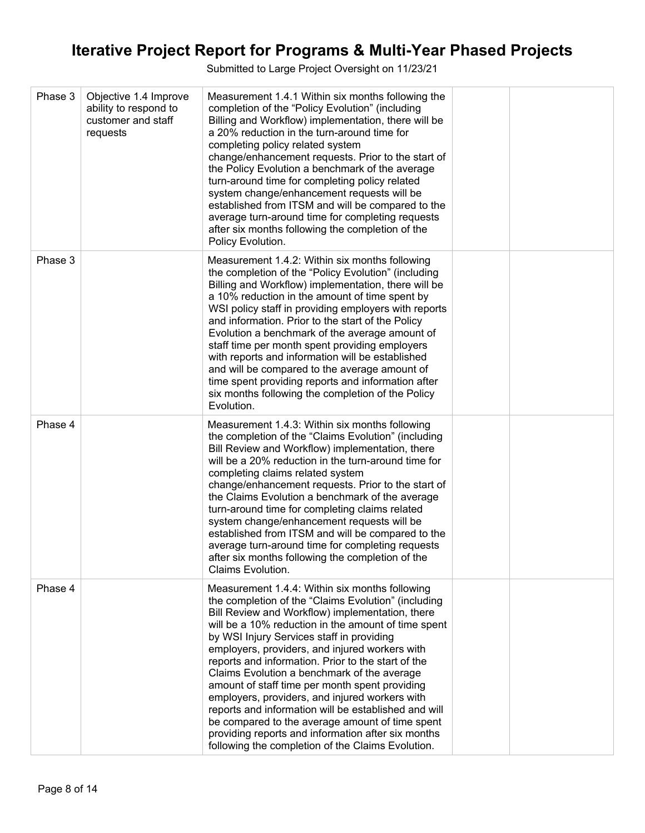| Phase 3 | Objective 1.4 Improve<br>ability to respond to<br>customer and staff<br>requests | Measurement 1.4.1 Within six months following the<br>completion of the "Policy Evolution" (including<br>Billing and Workflow) implementation, there will be<br>a 20% reduction in the turn-around time for<br>completing policy related system<br>change/enhancement requests. Prior to the start of<br>the Policy Evolution a benchmark of the average<br>turn-around time for completing policy related<br>system change/enhancement requests will be<br>established from ITSM and will be compared to the<br>average turn-around time for completing requests<br>after six months following the completion of the<br>Policy Evolution.                                                                                                     |  |
|---------|----------------------------------------------------------------------------------|-----------------------------------------------------------------------------------------------------------------------------------------------------------------------------------------------------------------------------------------------------------------------------------------------------------------------------------------------------------------------------------------------------------------------------------------------------------------------------------------------------------------------------------------------------------------------------------------------------------------------------------------------------------------------------------------------------------------------------------------------|--|
| Phase 3 |                                                                                  | Measurement 1.4.2: Within six months following<br>the completion of the "Policy Evolution" (including<br>Billing and Workflow) implementation, there will be<br>a 10% reduction in the amount of time spent by<br>WSI policy staff in providing employers with reports<br>and information. Prior to the start of the Policy<br>Evolution a benchmark of the average amount of<br>staff time per month spent providing employers<br>with reports and information will be established<br>and will be compared to the average amount of<br>time spent providing reports and information after<br>six months following the completion of the Policy<br>Evolution.                                                                                 |  |
| Phase 4 |                                                                                  | Measurement 1.4.3: Within six months following<br>the completion of the "Claims Evolution" (including<br>Bill Review and Workflow) implementation, there<br>will be a 20% reduction in the turn-around time for<br>completing claims related system<br>change/enhancement requests. Prior to the start of<br>the Claims Evolution a benchmark of the average<br>turn-around time for completing claims related<br>system change/enhancement requests will be<br>established from ITSM and will be compared to the<br>average turn-around time for completing requests<br>after six months following the completion of the<br>Claims Evolution.                                                                                                |  |
| Phase 4 |                                                                                  | Measurement 1.4.4: Within six months following<br>the completion of the "Claims Evolution" (including<br>Bill Review and Workflow) implementation, there<br>will be a 10% reduction in the amount of time spent<br>by WSI Injury Services staff in providing<br>employers, providers, and injured workers with<br>reports and information. Prior to the start of the<br>Claims Evolution a benchmark of the average<br>amount of staff time per month spent providing<br>employers, providers, and injured workers with<br>reports and information will be established and will<br>be compared to the average amount of time spent<br>providing reports and information after six months<br>following the completion of the Claims Evolution. |  |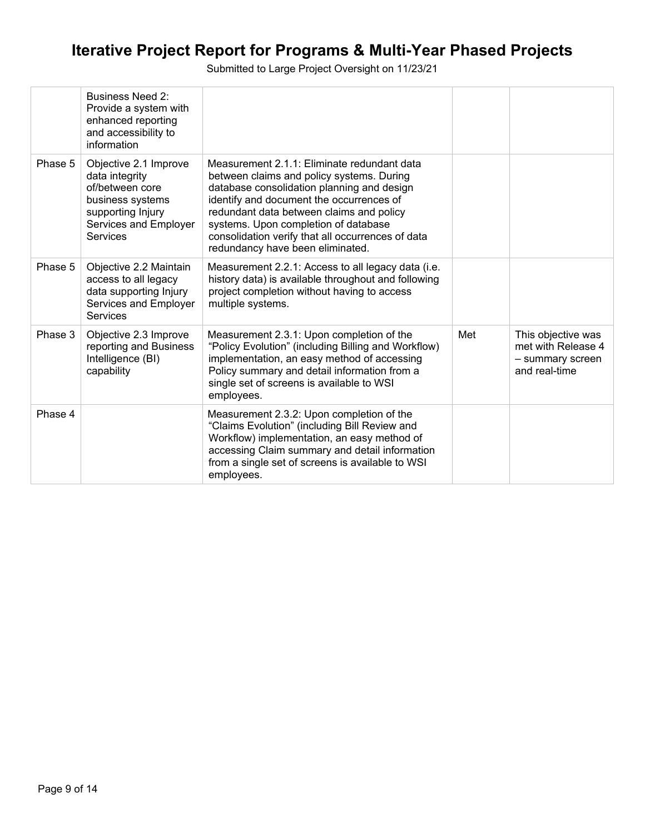|         | Business Need 2:<br>Provide a system with<br>enhanced reporting<br>and accessibility to<br>information                                   |                                                                                                                                                                                                                                                                                                                                                                 |     |                                                                               |
|---------|------------------------------------------------------------------------------------------------------------------------------------------|-----------------------------------------------------------------------------------------------------------------------------------------------------------------------------------------------------------------------------------------------------------------------------------------------------------------------------------------------------------------|-----|-------------------------------------------------------------------------------|
| Phase 5 | Objective 2.1 Improve<br>data integrity<br>of/between core<br>business systems<br>supporting Injury<br>Services and Employer<br>Services | Measurement 2.1.1: Eliminate redundant data<br>between claims and policy systems. During<br>database consolidation planning and design<br>identify and document the occurrences of<br>redundant data between claims and policy<br>systems. Upon completion of database<br>consolidation verify that all occurrences of data<br>redundancy have been eliminated. |     |                                                                               |
| Phase 5 | Objective 2.2 Maintain<br>access to all legacy<br>data supporting Injury<br>Services and Employer<br><b>Services</b>                     | Measurement 2.2.1: Access to all legacy data (i.e.<br>history data) is available throughout and following<br>project completion without having to access<br>multiple systems.                                                                                                                                                                                   |     |                                                                               |
| Phase 3 | Objective 2.3 Improve<br>reporting and Business<br>Intelligence (BI)<br>capability                                                       | Measurement 2.3.1: Upon completion of the<br>"Policy Evolution" (including Billing and Workflow)<br>implementation, an easy method of accessing<br>Policy summary and detail information from a<br>single set of screens is available to WSI<br>employees.                                                                                                      | Met | This objective was<br>met with Release 4<br>- summary screen<br>and real-time |
| Phase 4 |                                                                                                                                          | Measurement 2.3.2: Upon completion of the<br>"Claims Evolution" (including Bill Review and<br>Workflow) implementation, an easy method of<br>accessing Claim summary and detail information<br>from a single set of screens is available to WSI<br>employees.                                                                                                   |     |                                                                               |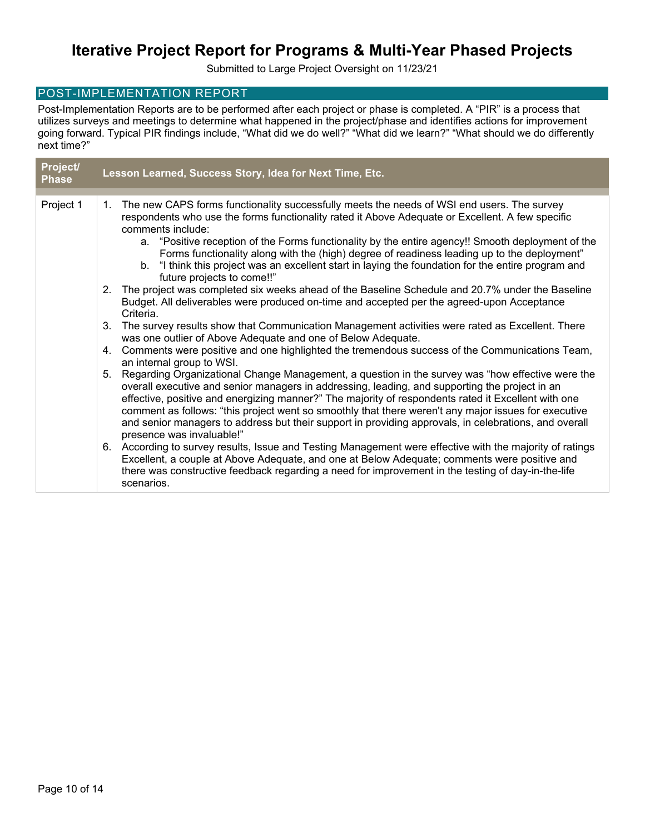Submitted to Large Project Oversight on 11/23/21

### POST-IMPLEMENTATION REPORT

Post-Implementation Reports are to be performed after each project or phase is completed. A "PIR" is a process that utilizes surveys and meetings to determine what happened in the project/phase and identifies actions for improvement going forward. Typical PIR findings include, "What did we do well?" "What did we learn?" "What should we do differently next time?"

| Project/<br><b>Phase</b> |                | Lesson Learned, Success Story, Idea for Next Time, Etc.                                                                                                                                                                                                                                                                                                                                                                                                                                                                                                    |
|--------------------------|----------------|------------------------------------------------------------------------------------------------------------------------------------------------------------------------------------------------------------------------------------------------------------------------------------------------------------------------------------------------------------------------------------------------------------------------------------------------------------------------------------------------------------------------------------------------------------|
|                          |                |                                                                                                                                                                                                                                                                                                                                                                                                                                                                                                                                                            |
| Project 1                | $\mathbf{1}$ . | The new CAPS forms functionality successfully meets the needs of WSI end users. The survey<br>respondents who use the forms functionality rated it Above Adequate or Excellent. A few specific<br>comments include:                                                                                                                                                                                                                                                                                                                                        |
|                          |                | a. "Positive reception of the Forms functionality by the entire agency!! Smooth deployment of the<br>Forms functionality along with the (high) degree of readiness leading up to the deployment"<br>b. "I think this project was an excellent start in laying the foundation for the entire program and<br>future projects to come!!"                                                                                                                                                                                                                      |
|                          |                | 2. The project was completed six weeks ahead of the Baseline Schedule and 20.7% under the Baseline<br>Budget. All deliverables were produced on-time and accepted per the agreed-upon Acceptance<br>Criteria.                                                                                                                                                                                                                                                                                                                                              |
|                          | 3.             | The survey results show that Communication Management activities were rated as Excellent. There<br>was one outlier of Above Adequate and one of Below Adequate.                                                                                                                                                                                                                                                                                                                                                                                            |
|                          |                | 4. Comments were positive and one highlighted the tremendous success of the Communications Team,<br>an internal group to WSI.                                                                                                                                                                                                                                                                                                                                                                                                                              |
|                          |                | 5. Regarding Organizational Change Management, a question in the survey was "how effective were the<br>overall executive and senior managers in addressing, leading, and supporting the project in an<br>effective, positive and energizing manner?" The majority of respondents rated it Excellent with one<br>comment as follows: "this project went so smoothly that there weren't any major issues for executive<br>and senior managers to address but their support in providing approvals, in celebrations, and overall<br>presence was invaluable!" |
|                          |                | 6. According to survey results, Issue and Testing Management were effective with the majority of ratings<br>Excellent, a couple at Above Adequate, and one at Below Adequate; comments were positive and<br>there was constructive feedback regarding a need for improvement in the testing of day-in-the-life<br>scenarios.                                                                                                                                                                                                                               |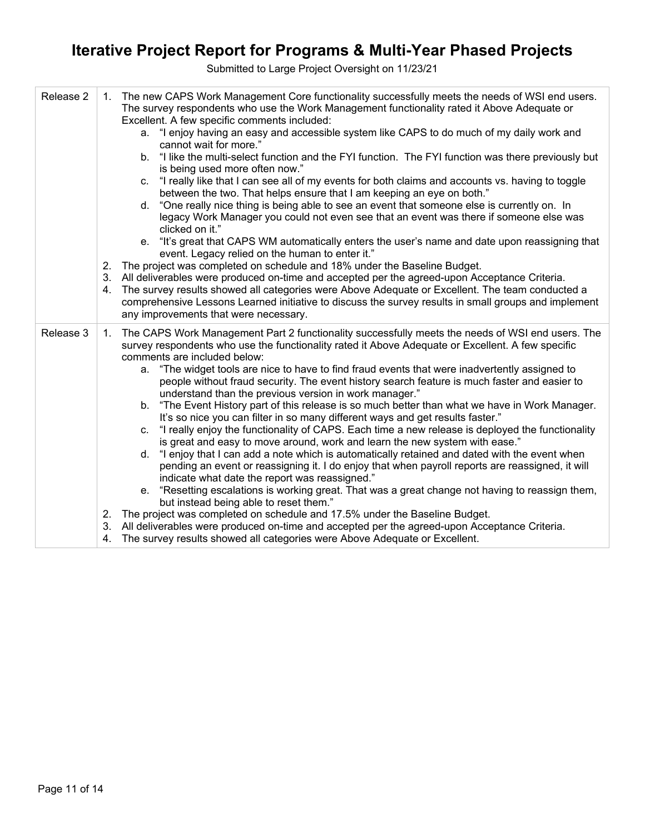| Release 2 | The new CAPS Work Management Core functionality successfully meets the needs of WSI end users.<br>1.<br>The survey respondents who use the Work Management functionality rated it Above Adequate or<br>Excellent. A few specific comments included:<br>a. "I enjoy having an easy and accessible system like CAPS to do much of my daily work and<br>cannot wait for more."<br>b. "I like the multi-select function and the FYI function. The FYI function was there previously but<br>is being used more often now."<br>"I really like that I can see all of my events for both claims and accounts vs. having to toggle<br>C.<br>between the two. That helps ensure that I am keeping an eye on both."<br>"One really nice thing is being able to see an event that someone else is currently on. In<br>d.<br>legacy Work Manager you could not even see that an event was there if someone else was<br>clicked on it."<br>e. "It's great that CAPS WM automatically enters the user's name and date upon reassigning that<br>event. Legacy relied on the human to enter it."<br>The project was completed on schedule and 18% under the Baseline Budget.<br>2.<br>3. All deliverables were produced on-time and accepted per the agreed-upon Acceptance Criteria.<br>The survey results showed all categories were Above Adequate or Excellent. The team conducted a<br>4.<br>comprehensive Lessons Learned initiative to discuss the survey results in small groups and implement<br>any improvements that were necessary.                                 |
|-----------|----------------------------------------------------------------------------------------------------------------------------------------------------------------------------------------------------------------------------------------------------------------------------------------------------------------------------------------------------------------------------------------------------------------------------------------------------------------------------------------------------------------------------------------------------------------------------------------------------------------------------------------------------------------------------------------------------------------------------------------------------------------------------------------------------------------------------------------------------------------------------------------------------------------------------------------------------------------------------------------------------------------------------------------------------------------------------------------------------------------------------------------------------------------------------------------------------------------------------------------------------------------------------------------------------------------------------------------------------------------------------------------------------------------------------------------------------------------------------------------------------------------------------------------------------------------|
| Release 3 | 1. The CAPS Work Management Part 2 functionality successfully meets the needs of WSI end users. The<br>survey respondents who use the functionality rated it Above Adequate or Excellent. A few specific<br>comments are included below:<br>a. "The widget tools are nice to have to find fraud events that were inadvertently assigned to<br>people without fraud security. The event history search feature is much faster and easier to<br>understand than the previous version in work manager."<br>b. "The Event History part of this release is so much better than what we have in Work Manager.<br>It's so nice you can filter in so many different ways and get results faster."<br>c. "I really enjoy the functionality of CAPS. Each time a new release is deployed the functionality<br>is great and easy to move around, work and learn the new system with ease."<br>d. "I enjoy that I can add a note which is automatically retained and dated with the event when<br>pending an event or reassigning it. I do enjoy that when payroll reports are reassigned, it will<br>indicate what date the report was reassigned."<br>e. "Resetting escalations is working great. That was a great change not having to reassign them,<br>but instead being able to reset them."<br>2. The project was completed on schedule and 17.5% under the Baseline Budget.<br>3. All deliverables were produced on-time and accepted per the agreed-upon Acceptance Criteria.<br>The survey results showed all categories were Above Adequate or Excellent.<br>4. |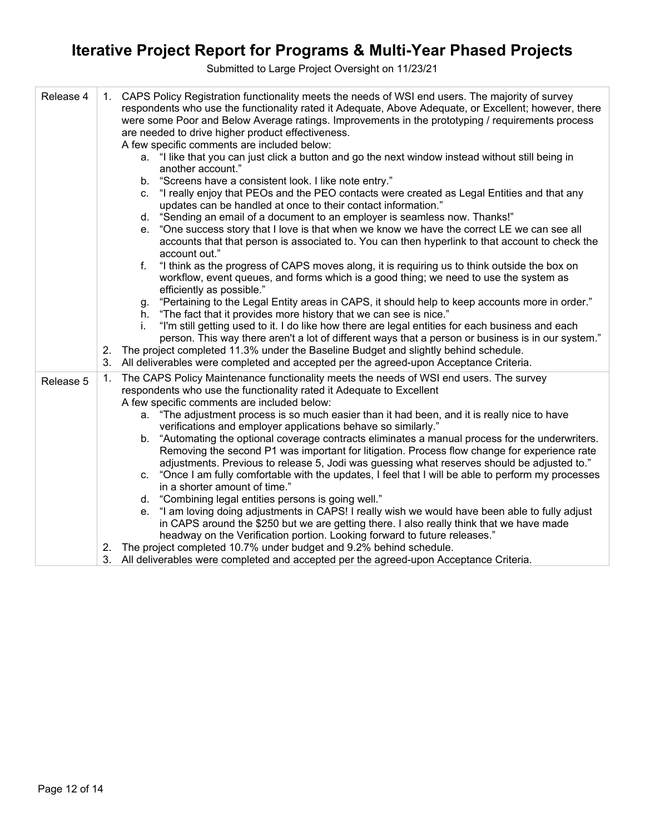| Release 4 | 1. CAPS Policy Registration functionality meets the needs of WSI end users. The majority of survey<br>respondents who use the functionality rated it Adequate, Above Adequate, or Excellent; however, there<br>were some Poor and Below Average ratings. Improvements in the prototyping / requirements process<br>are needed to drive higher product effectiveness.<br>A few specific comments are included below:<br>a. "I like that you can just click a button and go the next window instead without still being in<br>another account."<br>"Screens have a consistent look. I like note entry."<br>b.<br>"I really enjoy that PEOs and the PEO contacts were created as Legal Entities and that any<br>C.<br>updates can be handled at once to their contact information."<br>"Sending an email of a document to an employer is seamless now. Thanks!"<br>d.<br>"One success story that I love is that when we know we have the correct LE we can see all<br>е.<br>accounts that that person is associated to. You can then hyperlink to that account to check the<br>account out."<br>"I think as the progress of CAPS moves along, it is requiring us to think outside the box on<br>f.<br>workflow, event queues, and forms which is a good thing; we need to use the system as<br>efficiently as possible."<br>"Pertaining to the Legal Entity areas in CAPS, it should help to keep accounts more in order."<br>g.<br>"The fact that it provides more history that we can see is nice."<br>h.<br>"I'm still getting used to it. I do like how there are legal entities for each business and each<br>İ.<br>person. This way there aren't a lot of different ways that a person or business is in our system."<br>The project completed 11.3% under the Baseline Budget and slightly behind schedule.<br>2.<br>All deliverables were completed and accepted per the agreed-upon Acceptance Criteria.<br>3. |
|-----------|----------------------------------------------------------------------------------------------------------------------------------------------------------------------------------------------------------------------------------------------------------------------------------------------------------------------------------------------------------------------------------------------------------------------------------------------------------------------------------------------------------------------------------------------------------------------------------------------------------------------------------------------------------------------------------------------------------------------------------------------------------------------------------------------------------------------------------------------------------------------------------------------------------------------------------------------------------------------------------------------------------------------------------------------------------------------------------------------------------------------------------------------------------------------------------------------------------------------------------------------------------------------------------------------------------------------------------------------------------------------------------------------------------------------------------------------------------------------------------------------------------------------------------------------------------------------------------------------------------------------------------------------------------------------------------------------------------------------------------------------------------------------------------------------------------------------------------------------------------------------------------------------------------------------|
| Release 5 | The CAPS Policy Maintenance functionality meets the needs of WSI end users. The survey<br>1.<br>respondents who use the functionality rated it Adequate to Excellent<br>A few specific comments are included below:<br>a. "The adjustment process is so much easier than it had been, and it is really nice to have<br>verifications and employer applications behave so similarly."<br>"Automating the optional coverage contracts eliminates a manual process for the underwriters.<br>b.<br>Removing the second P1 was important for litigation. Process flow change for experience rate<br>adjustments. Previous to release 5, Jodi was guessing what reserves should be adjusted to."<br>"Once I am fully comfortable with the updates, I feel that I will be able to perform my processes<br>C.<br>in a shorter amount of time."<br>d. "Combining legal entities persons is going well."<br>"I am loving doing adjustments in CAPS! I really wish we would have been able to fully adjust<br>е.<br>in CAPS around the \$250 but we are getting there. I also really think that we have made<br>headway on the Verification portion. Looking forward to future releases."<br>2. The project completed 10.7% under budget and 9.2% behind schedule.<br>3. All deliverables were completed and accepted per the agreed-upon Acceptance Criteria.                                                                                                                                                                                                                                                                                                                                                                                                                                                                                                                                                                  |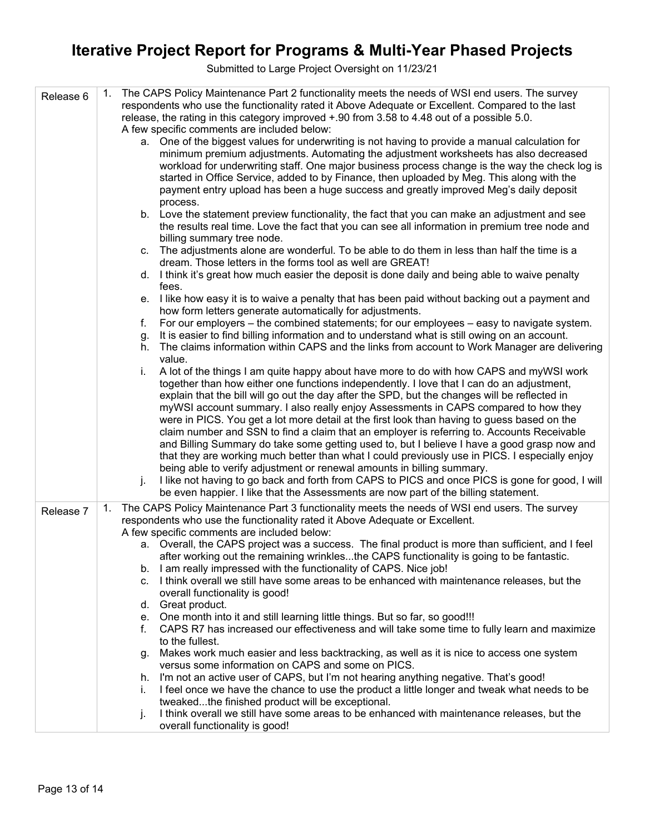| Release 6 | The CAPS Policy Maintenance Part 2 functionality meets the needs of WSI end users. The survey<br>respondents who use the functionality rated it Above Adequate or Excellent. Compared to the last<br>release, the rating in this category improved +.90 from 3.58 to 4.48 out of a possible 5.0.                                                                                       |
|-----------|----------------------------------------------------------------------------------------------------------------------------------------------------------------------------------------------------------------------------------------------------------------------------------------------------------------------------------------------------------------------------------------|
|           | A few specific comments are included below:                                                                                                                                                                                                                                                                                                                                            |
|           | a. One of the biggest values for underwriting is not having to provide a manual calculation for<br>minimum premium adjustments. Automating the adjustment worksheets has also decreased<br>workload for underwriting staff. One major business process change is the way the check log is<br>started in Office Service, added to by Finance, then uploaded by Meg. This along with the |
|           | payment entry upload has been a huge success and greatly improved Meg's daily deposit<br>process.                                                                                                                                                                                                                                                                                      |
|           | b. Love the statement preview functionality, the fact that you can make an adjustment and see<br>the results real time. Love the fact that you can see all information in premium tree node and<br>billing summary tree node.                                                                                                                                                          |
|           | c. The adjustments alone are wonderful. To be able to do them in less than half the time is a<br>dream. Those letters in the forms tool as well are GREAT!                                                                                                                                                                                                                             |
|           | d. I think it's great how much easier the deposit is done daily and being able to waive penalty<br>fees.                                                                                                                                                                                                                                                                               |
|           | e. I like how easy it is to waive a penalty that has been paid without backing out a payment and<br>how form letters generate automatically for adjustments.                                                                                                                                                                                                                           |
|           | For our employers – the combined statements; for our employees – easy to navigate system.<br>f.                                                                                                                                                                                                                                                                                        |
|           | It is easier to find billing information and to understand what is still owing on an account.<br>g.                                                                                                                                                                                                                                                                                    |
|           | The claims information within CAPS and the links from account to Work Manager are delivering<br>h.<br>value.                                                                                                                                                                                                                                                                           |
|           | A lot of the things I am quite happy about have more to do with how CAPS and myWSI work<br>i.<br>together than how either one functions independently. I love that I can do an adjustment,<br>explain that the bill will go out the day after the SPD, but the changes will be reflected in                                                                                            |
|           | myWSI account summary. I also really enjoy Assessments in CAPS compared to how they<br>were in PICS. You get a lot more detail at the first look than having to guess based on the<br>claim number and SSN to find a claim that an employer is referring to. Accounts Receivable                                                                                                       |
|           | and Billing Summary do take some getting used to, but I believe I have a good grasp now and<br>that they are working much better than what I could previously use in PICS. I especially enjoy                                                                                                                                                                                          |
|           | being able to verify adjustment or renewal amounts in billing summary.<br>I like not having to go back and forth from CAPS to PICS and once PICS is gone for good, I will<br>j.<br>be even happier. I like that the Assessments are now part of the billing statement.                                                                                                                 |
| Release 7 | The CAPS Policy Maintenance Part 3 functionality meets the needs of WSI end users. The survey<br>1.                                                                                                                                                                                                                                                                                    |
|           | respondents who use the functionality rated it Above Adequate or Excellent.<br>A few specific comments are included below:                                                                                                                                                                                                                                                             |
|           | a. Overall, the CAPS project was a success. The final product is more than sufficient, and I feel                                                                                                                                                                                                                                                                                      |
|           | after working out the remaining wrinklesthe CAPS functionality is going to be fantastic.<br>I am really impressed with the functionality of CAPS. Nice job!<br>b.                                                                                                                                                                                                                      |
|           | I think overall we still have some areas to be enhanced with maintenance releases, but the<br>C.                                                                                                                                                                                                                                                                                       |
|           | overall functionality is good!                                                                                                                                                                                                                                                                                                                                                         |
|           | d. Great product.                                                                                                                                                                                                                                                                                                                                                                      |
|           | e. One month into it and still learning little things. But so far, so good!!!                                                                                                                                                                                                                                                                                                          |
|           | CAPS R7 has increased our effectiveness and will take some time to fully learn and maximize<br>f.<br>to the fullest.                                                                                                                                                                                                                                                                   |
|           | Makes work much easier and less backtracking, as well as it is nice to access one system<br>g.<br>versus some information on CAPS and some on PICS.                                                                                                                                                                                                                                    |
|           | h. I'm not an active user of CAPS, but I'm not hearing anything negative. That's good!                                                                                                                                                                                                                                                                                                 |
|           | I feel once we have the chance to use the product a little longer and tweak what needs to be<br>İ.<br>tweakedthe finished product will be exceptional.                                                                                                                                                                                                                                 |
|           | I think overall we still have some areas to be enhanced with maintenance releases, but the<br>j.<br>overall functionality is good!                                                                                                                                                                                                                                                     |